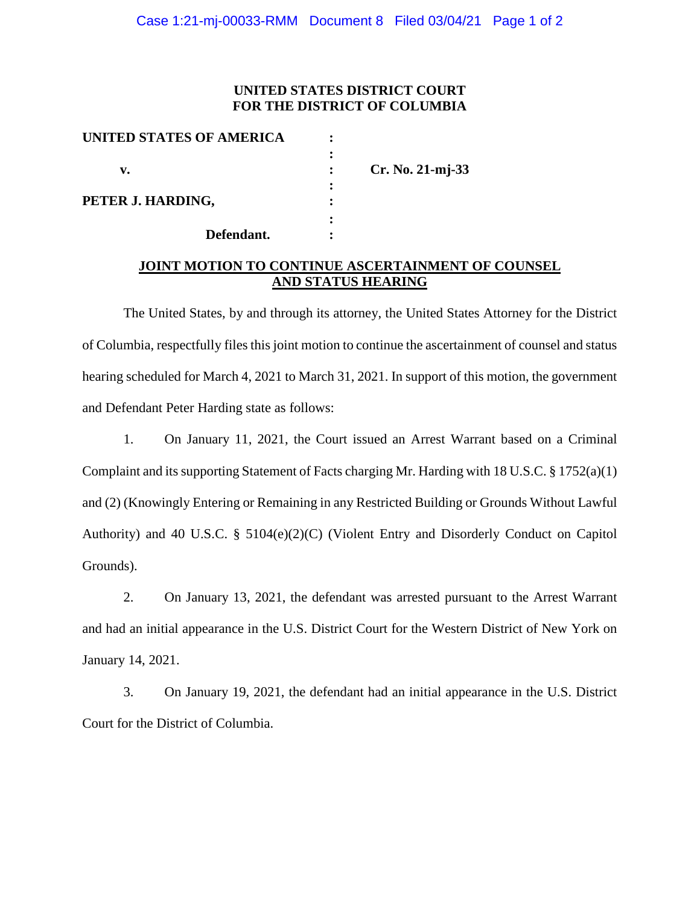## **UNITED STATES DISTRICT COURT FOR THE DISTRICT OF COLUMBIA**

| UNITED STATES OF AMERICA |                    |
|--------------------------|--------------------|
|                          |                    |
| v.                       | $Cr. No. 21-mj-33$ |
|                          |                    |
| PETER J. HARDING,        |                    |
|                          |                    |
| Defendant.               |                    |

## **JOINT MOTION TO CONTINUE ASCERTAINMENT OF COUNSEL AND STATUS HEARING**

The United States, by and through its attorney, the United States Attorney for the District of Columbia, respectfully files this joint motion to continue the ascertainment of counsel and status hearing scheduled for March 4, 2021 to March 31, 2021. In support of this motion, the government and Defendant Peter Harding state as follows:

1. On January 11, 2021, the Court issued an Arrest Warrant based on a Criminal Complaint and its supporting Statement of Facts charging Mr. Harding with 18 U.S.C. § 1752(a)(1) and (2) (Knowingly Entering or Remaining in any Restricted Building or Grounds Without Lawful Authority) and 40 U.S.C. § 5104(e)(2)(C) (Violent Entry and Disorderly Conduct on Capitol Grounds).

2. On January 13, 2021, the defendant was arrested pursuant to the Arrest Warrant and had an initial appearance in the U.S. District Court for the Western District of New York on January 14, 2021.

3. On January 19, 2021, the defendant had an initial appearance in the U.S. District Court for the District of Columbia.